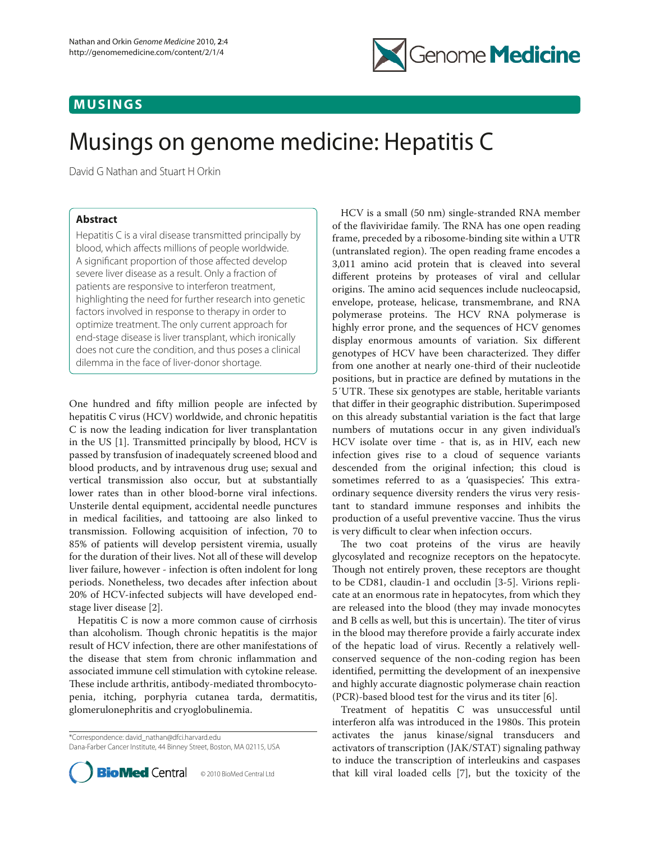## **MUSINGS**



# Musings on genome medicine: Hepatitis C

David G Nathan and Stuart H Orkin

### **Abstract**

Hepatitis C is a viral disease transmitted principally by blood, which affects millions of people worldwide. A significant proportion of those affected develop severe liver disease as a result. Only a fraction of patients are responsive to interferon treatment, highlighting the need for further research into genetic factors involved in response to therapy in order to optimize treatment. The only current approach for end-stage disease is liver transplant, which ironically does not cure the condition, and thus poses a clinical dilemma in the face of liver-donor shortage.

One hundred and fifty million people are infected by hepatitis C virus (HCV) worldwide, and chronic hepatitis C is now the leading indication for liver transplantation in the US [1]. Transmitted principally by blood, HCV is passed by transfusion of inadequately screened blood and blood products, and by intravenous drug use; sexual and vertical transmission also occur, but at substantially lower rates than in other blood-borne viral infections. Unsterile dental equipment, accidental needle punctures in medical facilities, and tattooing are also linked to transmission. Following acquisition of infection, 70 to 85% of patients will develop persistent viremia, usually for the duration of their lives. Not all of these will develop liver failure, however - infection is often indolent for long periods. Nonetheless, two decades after infection about 20% of HCV-infected subjects will have developed endstage liver disease [2].

Hepatitis C is now a more common cause of cirrhosis than alcoholism. Though chronic hepatitis is the major result of HCV infection, there are other manifestations of the disease that stem from chronic inflammation and associated immune cell stimulation with cytokine release. These include arthritis, antibody-mediated thrombocytopenia, itching, porphyria cutanea tarda, dermatitis, glomerulonephritis and cryoglobulinemia.

\*Correspondence: david\_nathan@dfci.harvard.edu Dana-Farber Cancer Institute, 44 Binney Street, Boston, MA 02115, USA



HCV is a small (50 nm) single-stranded RNA member of the flaviviridae family. The RNA has one open reading frame, preceded by a ribosome-binding site within a UTR (untranslated region). The open reading frame encodes a 3,011 amino acid protein that is cleaved into several different proteins by proteases of viral and cellular origins. The amino acid sequences include nucleocapsid, envelope, protease, helicase, transmembrane, and RNA polymerase proteins. The HCV RNA polymerase is highly error prone, and the sequences of HCV genomes display enormous amounts of variation. Six different genotypes of HCV have been characterized. They differ from one another at nearly one-third of their nucleotide positions, but in practice are defined by mutations in the 5'UTR. These six genotypes are stable, heritable variants that differ in their geographic distribution. Superimposed on this already substantial variation is the fact that large numbers of mutations occur in any given individual's HCV isolate over time - that is, as in HIV, each new infection gives rise to a cloud of sequence variants descended from the original infection; this cloud is sometimes referred to as a 'quasispecies'. This extraordinary sequence diversity renders the virus very resistant to standard immune responses and inhibits the production of a useful preventive vaccine. Thus the virus is very difficult to clear when infection occurs.

The two coat proteins of the virus are heavily glycosylated and recognize receptors on the hepatocyte. Though not entirely proven, these receptors are thought to be CD81, claudin-1 and occludin [3-5]. Virions replicate at an enormous rate in hepatocytes, from which they are released into the blood (they may invade monocytes and B cells as well, but this is uncertain). The titer of virus in the blood may therefore provide a fairly accurate index of the hepatic load of virus. Recently a relatively wellconserved sequence of the non-coding region has been identified, permitting the development of an inexpensive and highly accurate diagnostic polymerase chain reaction (PCR)-based blood test for the virus and its titer [6].

Treatment of hepatitis C was unsuccessful until interferon alfa was introduced in the 1980s. This protein activates the janus kinase/signal transducers and activators of transcription (JAK/STAT) signaling pathway to induce the transcription of interleukins and caspases that kill viral loaded cells [7], but the toxicity of the